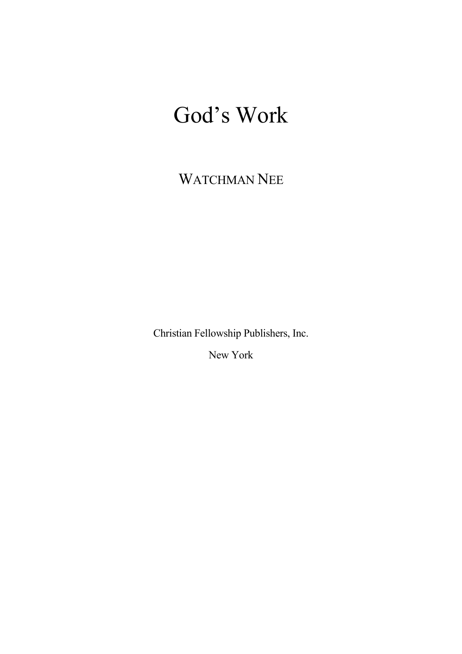## God's Work

WATCHMAN NEE

Christian Fellowship Publishers, Inc.

New York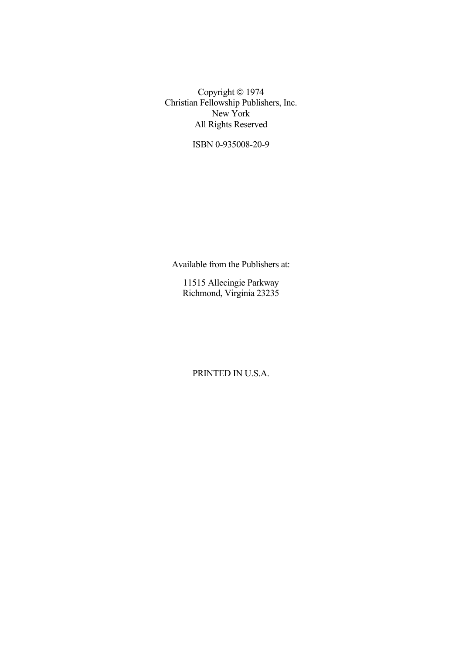Copyright  $\odot$  1974 Christian Fellowship Publishers, Inc. New York All Rights Reserved

ISBN 0-935008-20-9

Available from the Publishers at:

11515 Allecingie Parkway Richmond, Virginia 23235

PRINTED IN U.S.A.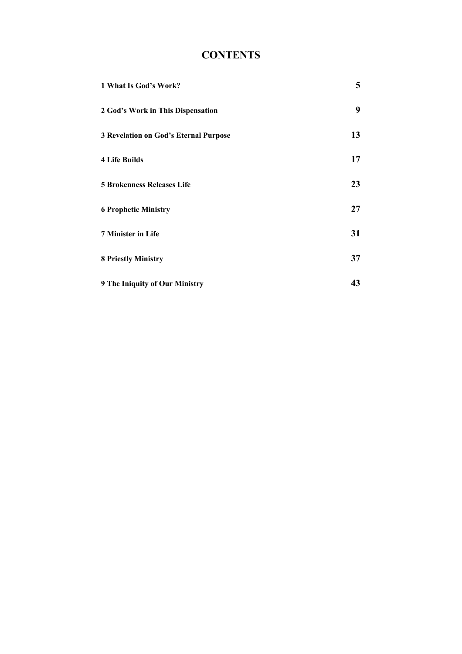## **CONTENTS**

| 1 What Is God's Work?                        | 5  |
|----------------------------------------------|----|
| 2 God's Work in This Dispensation            | 9  |
| <b>3 Revelation on God's Eternal Purpose</b> | 13 |
| 4 Life Builds                                | 17 |
| <b>5 Brokenness Releases Life</b>            | 23 |
| <b>6 Prophetic Ministry</b>                  | 27 |
| 7 Minister in Life                           | 31 |
| <b>8 Priestly Ministry</b>                   | 37 |
| 9 The Iniquity of Our Ministry               | 43 |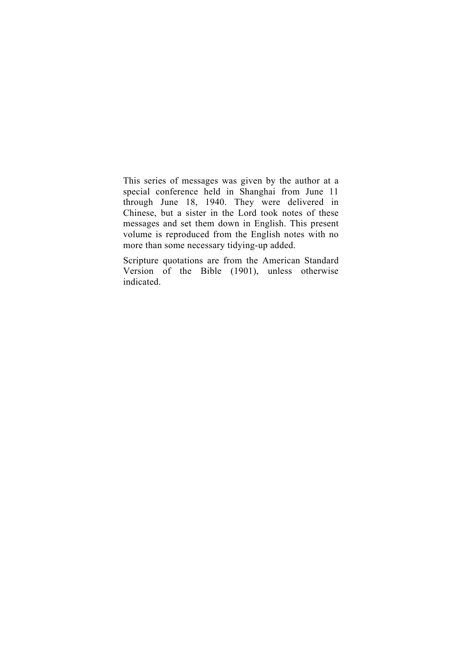This series of messages was given by the author at a special conference held in Shanghai from June 11 through June 18, 1940. They were delivered in Chinese, but a sister in the Lord took notes of these messages and set them down in English. This present volume is reproduced from the English notes with no more than some necessary tidying-up added.

Scripture quotations are from the American Standard Version of the Bible (1901), unless otherwise indicated.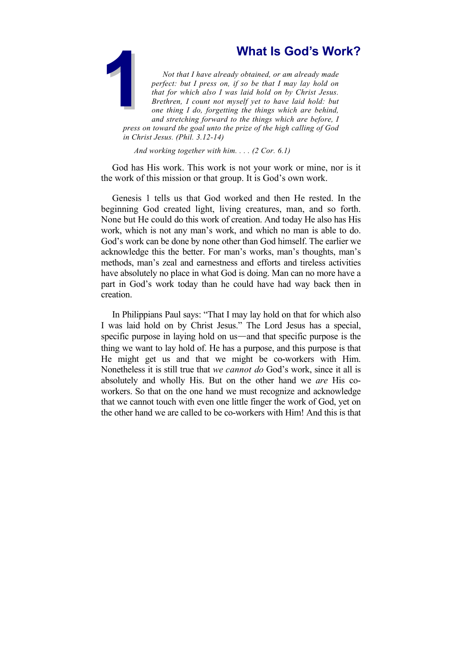<span id="page-4-0"></span>**1989 What Is God's Work?**<br>
Not that I have already obtained, or am already made<br>
perfect: but I press on, if so be that I may lay hold on<br>
that for which also I was laid hold on by Christ Jesus.<br>
Brethren, I count not mys *Not that I have already obtained, or am already made perfect: but I press on, if so be that I may lay hold on that for which also I was laid hold on by Christ Jesus. Brethren, I count not myself yet to have laid hold: but one thing I do, forgetting the things which are behind, and stretching forward to the things which are before, I press on toward the goal unto the prize of the high calling of God in Christ Jesus. (Phil. 3.12-14)*

*And working together with him. . . . (2 Cor. 6.1)*

God has His work. This work is not your work or mine, nor is it the work of this mission or that group. It is God's own work.

Genesis 1 tells us that God worked and then He rested. In the beginning God created light, living creatures, man, and so forth. None but He could do this work of creation. And today He also has His work, which is not any man's work, and which no man is able to do. God's work can be done by none other than God himself. The earlier we acknowledge this the better. For man's works, man's thoughts, man's methods, man's zeal and earnestness and efforts and tireless activities have absolutely no place in what God is doing. Man can no more have a part in God's work today than he could have had way back then in creation.

In Philippians Paul says: "That I may lay hold on that for which also I was laid hold on by Christ Jesus." The Lord Jesus has a special, specific purpose in laying hold on us—and that specific purpose is the thing we want to lay hold of. He has a purpose, and this purpose is that He might get us and that we might be co-workers with Him. Nonetheless it is still true that *we cannot do* God's work, since it all is absolutely and wholly His. But on the other hand we *are* His coworkers. So that on the one hand we must recognize and acknowledge that we cannot touch with even one little finger the work of God, yet on the other hand we are called to be co-workers with Him! And this is that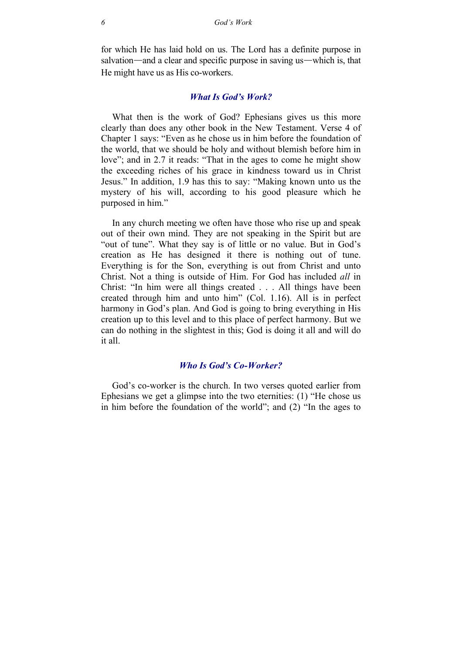for which He has laid hold on us. The Lord has a definite purpose in salvation—and a clear and specific purpose in saving us—which is, that He might have us as His co-workers.

#### *What Is God's Work?*

What then is the work of God? Ephesians gives us this more clearly than does any other book in the New Testament. Verse 4 of Chapter 1 says: "Even as he chose us in him before the foundation of the world, that we should be holy and without blemish before him in love"; and in 2.7 it reads: "That in the ages to come he might show the exceeding riches of his grace in kindness toward us in Christ Jesus." In addition, 1.9 has this to say: "Making known unto us the mystery of his will, according to his good pleasure which he purposed in him."

In any church meeting we often have those who rise up and speak out of their own mind. They are not speaking in the Spirit but are "out of tune". What they say is of little or no value. But in God's creation as He has designed it there is nothing out of tune. Everything is for the Son, everything is out from Christ and unto Christ. Not a thing is outside of Him. For God has included *all* in Christ: "In him were all things created . . . All things have been created through him and unto him" (Col. 1.16). All is in perfect harmony in God's plan. And God is going to bring everything in His creation up to this level and to this place of perfect harmony. But we can do nothing in the slightest in this; God is doing it all and will do it all.

#### *Who Is God's Co-Worker?*

God's co-worker is the church. In two verses quoted earlier from Ephesians we get a glimpse into the two eternities: (1) "He chose us in him before the foundation of the world"; and (2) "In the ages to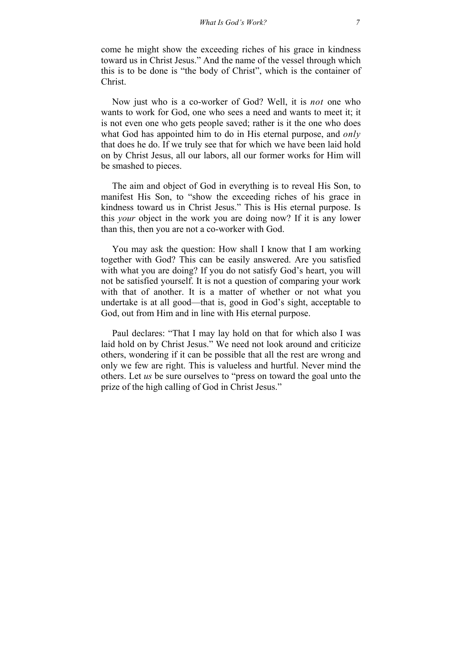come he might show the exceeding riches of his grace in kindness toward us in Christ Jesus." And the name of the vessel through which this is to be done is "the body of Christ", which is the container of Christ.

Now just who is a co-worker of God? Well, it is *not* one who wants to work for God, one who sees a need and wants to meet it; it is not even one who gets people saved; rather is it the one who does what God has appointed him to do in His eternal purpose, and *only*  that does he do. If we truly see that for which we have been laid hold on by Christ Jesus, all our labors, all our former works for Him will be smashed to pieces.

The aim and object of God in everything is to reveal His Son, to manifest His Son, to "show the exceeding riches of his grace in kindness toward us in Christ Jesus." This is His eternal purpose. Is this *your* object in the work you are doing now? If it is any lower than this, then you are not a co-worker with God.

You may ask the question: How shall I know that I am working together with God? This can be easily answered. Are you satisfied with what you are doing? If you do not satisfy God's heart, you will not be satisfied yourself. It is not a question of comparing your work with that of another. It is a matter of whether or not what you undertake is at all good—that is, good in God's sight, acceptable to God, out from Him and in line with His eternal purpose.

Paul declares: "That I may lay hold on that for which also I was laid hold on by Christ Jesus." We need not look around and criticize others, wondering if it can be possible that all the rest are wrong and only we few are right. This is valueless and hurtful. Never mind the others. Let *us* be sure ourselves to "press on toward the goal unto the prize of the high calling of God in Christ Jesus."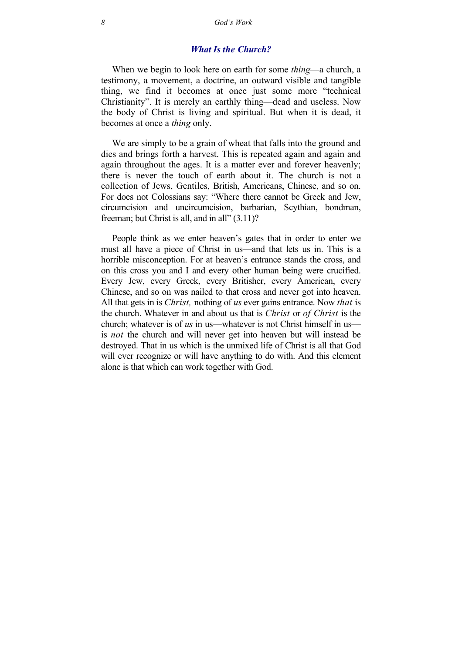#### *What Is the Church?*

When we begin to look here on earth for some *thing*—a church, a testimony, a movement, a doctrine, an outward visible and tangible thing, we find it becomes at once just some more "technical Christianity". It is merely an earthly thing—dead and useless. Now the body of Christ is living and spiritual. But when it is dead, it becomes at once a *thing* only.

We are simply to be a grain of wheat that falls into the ground and dies and brings forth a harvest. This is repeated again and again and again throughout the ages. It is a matter ever and forever heavenly; there is never the touch of earth about it. The church is not a collection of Jews, Gentiles, British, Americans, Chinese, and so on. For does not Colossians say: "Where there cannot be Greek and Jew, circumcision and uncircumcision, barbarian, Scythian, bondman, freeman; but Christ is all, and in all"  $(3.11)$ ?

People think as we enter heaven's gates that in order to enter we must all have a piece of Christ in us—and that lets us in. This is a horrible misconception. For at heaven's entrance stands the cross, and on this cross you and I and every other human being were crucified. Every Jew, every Greek, every Britisher, every American, every Chinese, and so on was nailed to that cross and never got into heaven. All that gets in is *Christ,* nothing of *us* ever gains entrance. Now *that* is the church. Whatever in and about us that is *Christ* or *of Christ* is the church; whatever is of *us* in us—whatever is not Christ himself in us is *not* the church and will never get into heaven but will instead be destroyed. That in us which is the unmixed life of Christ is all that God will ever recognize or will have anything to do with. And this element alone is that which can work together with God.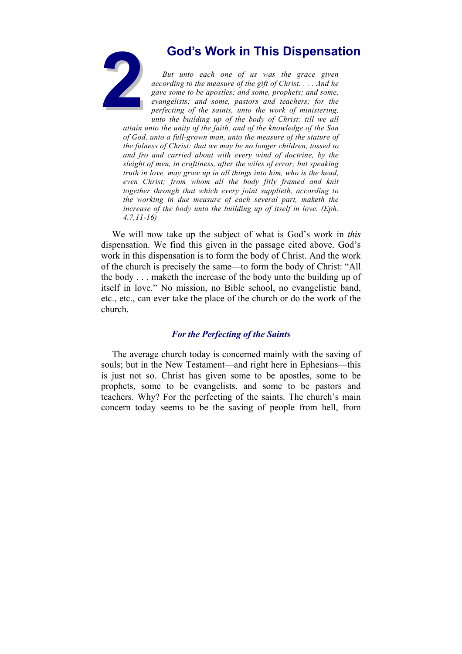## **2God's Work in This Dispensation**

<span id="page-8-0"></span>

*But unto each one of us was the grace given according to the measure of the gift of Christ. . . . And he gave some to be apostles; and some, prophets; and some, evangelists; and some, pastors and teachers; for the perfecting of the saints, unto the work of ministering, unto the building up of the body of Christ: till we all* 

*attain unto the unity of the faith, and of the knowledge of the Son of God, unto a full-grown man, unto the measure of the stature of the fulness of Christ: that we may be no longer children, tossed to and fro and carried about with every wind of doctrine, by the sleight of men, in craftiness, after the wiles of error; but speaking truth in love, may grow up in all things into him, who is the head, even Christ; from whom all the body fitly framed and knit together through that which every joint supplieth, according to the working in due measure of each several part, maketh the increase of the body unto the building up of itself in love. (Eph. 4.7,11-16)*

We will now take up the subject of what is God's work in *this*  dispensation. We find this given in the passage cited above. God's work in this dispensation is to form the body of Christ. And the work of the church is precisely the same—to form the body of Christ: "All the body . . . maketh the increase of the body unto the building up of itself in love." No mission, no Bible school, no evangelistic band, etc., etc., can ever take the place of the church or do the work of the church.

#### *For the Perfecting of the Saints*

The average church today is concerned mainly with the saving of souls; but in the New Testament—and right here in Ephesians—this is just not so. Christ has given some to be apostles, some to be prophets, some to be evangelists, and some to be pastors and teachers. Why? For the perfecting of the saints. The church's main concern today seems to be the saving of people from hell, from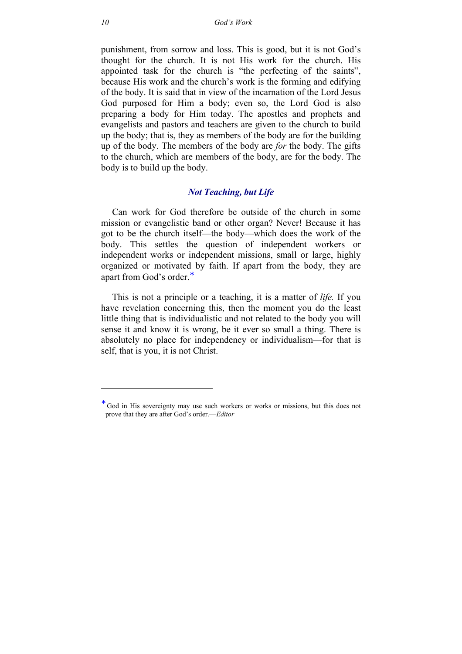punishment, from sorrow and loss. This is good, but it is not God's thought for the church. It is not His work for the church. His appointed task for the church is "the perfecting of the saints", because His work and the church's work is the forming and edifying of the body. It is said that in view of the incarnation of the Lord Jesus God purposed for Him a body; even so, the Lord God is also preparing a body for Him today. The apostles and prophets and evangelists and pastors and teachers are given to the church to build up the body; that is, they as members of the body are for the building up of the body. The members of the body are *for* the body. The gifts to the church, which are members of the body, are for the body. The body is to build up the body.

#### *Not Teaching, but Life*

Can work for God therefore be outside of the church in some mission or evangelistic band or other organ? Never! Because it has got to be the church itself—the body—which does the work of the body. This settles the question of independent workers or independent works or independent missions, small or large, highly organized or motivated by faith. If apart from the body, they are apart from God's order.<sup>\*</sup>

This is not a principle or a teaching, it is a matter of *life.* If you have revelation concerning this, then the moment you do the least little thing that is individualistic and not related to the body you will sense it and know it is wrong, be it ever so small a thing. There is absolutely no place for independency or individualism—for that is self, that is you, it is not Christ.

1

<sup>∗</sup> God in His sovereignty may use such workers or works or missions, but this does not prove that they are after God's order.—*Editor*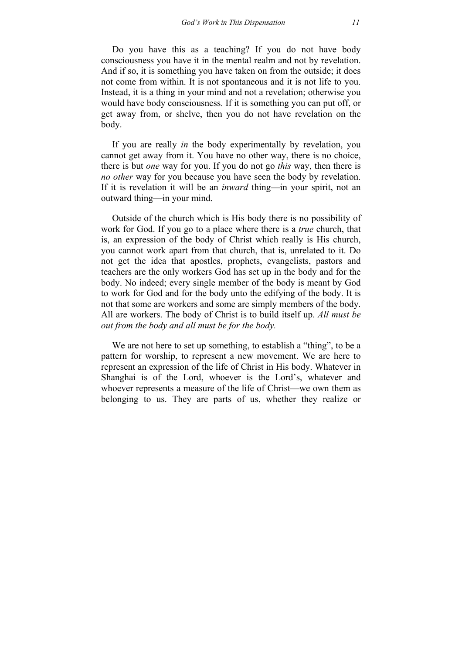Do you have this as a teaching? If you do not have body consciousness you have it in the mental realm and not by revelation. And if so, it is something you have taken on from the outside; it does not come from within. It is not spontaneous and it is not life to you. Instead, it is a thing in your mind and not a revelation; otherwise you would have body consciousness. If it is something you can put off, or get away from, or shelve, then you do not have revelation on the body.

If you are really *in* the body experimentally by revelation, you cannot get away from it. You have no other way, there is no choice, there is but *one* way for you. If you do not go *this* way, then there is *no other* way for you because you have seen the body by revelation. If it is revelation it will be an *inward* thing—in your spirit, not an outward thing—in your mind.

Outside of the church which is His body there is no possibility of work for God. If you go to a place where there is a *true* church, that is, an expression of the body of Christ which really is His church, you cannot work apart from that church, that is, unrelated to it. Do not get the idea that apostles, prophets, evangelists, pastors and teachers are the only workers God has set up in the body and for the body. No indeed; every single member of the body is meant by God to work for God and for the body unto the edifying of the body. It is not that some are workers and some are simply members of the body. All are workers. The body of Christ is to build itself up. *All must be out from the body and all must be for the body.* 

We are not here to set up something, to establish a "thing", to be a pattern for worship, to represent a new movement. We are here to represent an expression of the life of Christ in His body. Whatever in Shanghai is of the Lord, whoever is the Lord's, whatever and whoever represents a measure of the life of Christ—we own them as belonging to us. They are parts of us, whether they realize or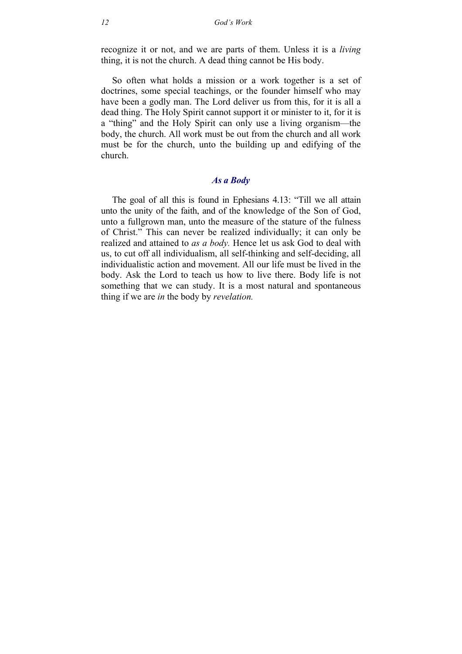recognize it or not, and we are parts of them. Unless it is a *living*  thing, it is not the church. A dead thing cannot be His body.

So often what holds a mission or a work together is a set of doctrines, some special teachings, or the founder himself who may have been a godly man. The Lord deliver us from this, for it is all a dead thing. The Holy Spirit cannot support it or minister to it, for it is a "thing" and the Holy Spirit can only use a living organism—the body, the church. All work must be out from the church and all work must be for the church, unto the building up and edifying of the church.

#### *As a Body*

The goal of all this is found in Ephesians 4.13: "Till we all attain unto the unity of the faith, and of the knowledge of the Son of God, unto a fullgrown man, unto the measure of the stature of the fulness of Christ." This can never be realized individually; it can only be realized and attained to *as a body.* Hence let us ask God to deal with us, to cut off all individualism, all self-thinking and self-deciding, all individualistic action and movement. All our life must be lived in the body. Ask the Lord to teach us how to live there. Body life is not something that we can study. It is a most natural and spontaneous thing if we are *in* the body by *revelation.*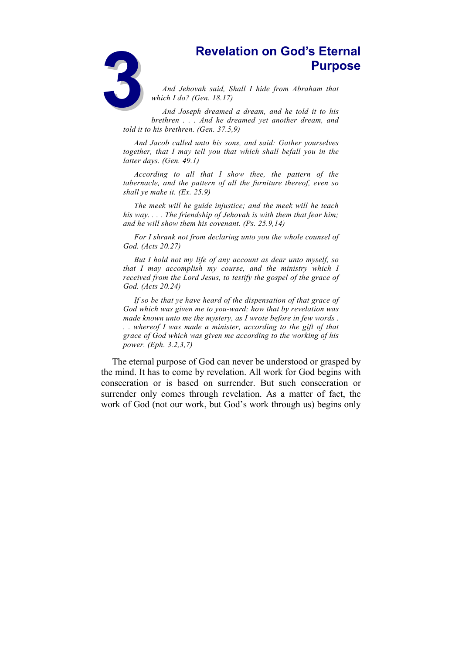

# <span id="page-12-0"></span>**3Revelation on God's Eternal Purpose**<br>**3Revelation on God's Eternal Purpose**<br>*And Jehovah said, Shall I hide from Abraham that*<br>*brethren And hogen dreamed a dream, and he told it to his*<br>*brethren And he dreamed yet* **Purpose**

*And Jehovah said, Shall I hide from Abraham that which I do? (Gen. 18.17)*

*And Joseph dreamed a dream, and he told it to his brethren . . . And he dreamed yet another dream, and told it to his brethren. (Gen. 37.5,9)*

*And Jacob called unto his sons, and said: Gather yourselves together, that I may tell you that which shall befall you in the latter days. (Gen. 49.1)*

*According to all that I show thee, the pattern of the tabernacle, and the pattern of all the furniture thereof, even so shall ye make it. (Ex. 25.9)*

*The meek will he guide injustice; and the meek will he teach his way. . . . The friendship of Jehovah is with them that fear him; and he will show them his covenant. (Ps. 25.9,14)*

*For I shrank not from declaring unto you the whole counsel of God. (Acts 20.27)*

*But I hold not my life of any account as dear unto myself, so that I may accomplish my course, and the ministry which I received from the Lord Jesus, to testify the gospel of the grace of God. (Acts 20.24)*

*If so be that ye have heard of the dispensation of that grace of God which was given me to you-ward; how that by revelation was made known unto me the mystery, as I wrote before in few words . . . whereof I was made a minister, according to the gift of that grace of God which was given me according to the working of his power. (Eph. 3.2,3,7)*

The eternal purpose of God can never be understood or grasped by the mind. It has to come by revelation. All work for God begins with consecration or is based on surrender. But such consecration or surrender only comes through revelation. As a matter of fact, the work of God (not our work, but God's work through us) begins only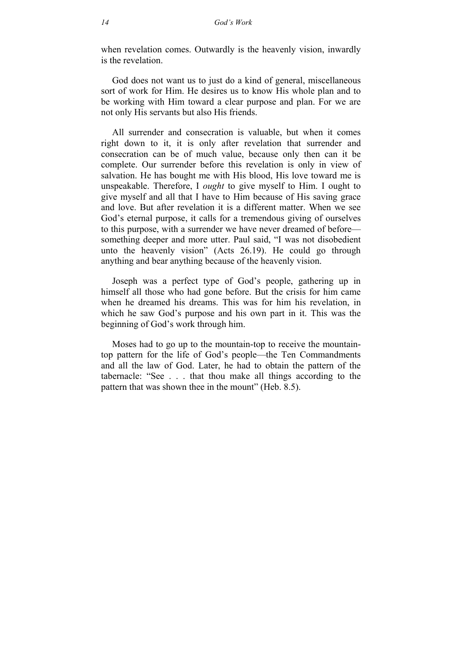when revelation comes. Outwardly is the heavenly vision, inwardly is the revelation.

God does not want us to just do a kind of general, miscellaneous sort of work for Him. He desires us to know His whole plan and to be working with Him toward a clear purpose and plan. For we are not only His servants but also His friends.

All surrender and consecration is valuable, but when it comes right down to it, it is only after revelation that surrender and consecration can be of much value, because only then can it be complete. Our surrender before this revelation is only in view of salvation. He has bought me with His blood, His love toward me is unspeakable. Therefore, I *ought* to give myself to Him. I ought to give myself and all that I have to Him because of His saving grace and love. But after revelation it is a different matter. When we see God's eternal purpose, it calls for a tremendous giving of ourselves to this purpose, with a surrender we have never dreamed of before something deeper and more utter. Paul said, "I was not disobedient unto the heavenly vision" (Acts 26.19). He could go through anything and bear anything because of the heavenly vision.

Joseph was a perfect type of God's people, gathering up in himself all those who had gone before. But the crisis for him came when he dreamed his dreams. This was for him his revelation, in which he saw God's purpose and his own part in it. This was the beginning of God's work through him.

Moses had to go up to the mountain-top to receive the mountaintop pattern for the life of God's people—the Ten Commandments and all the law of God. Later, he had to obtain the pattern of the tabernacle: "See . . . that thou make all things according to the pattern that was shown thee in the mount" (Heb. 8.5).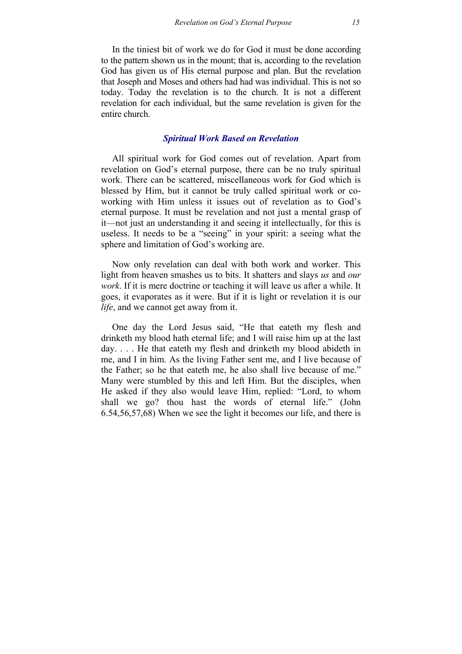In the tiniest bit of work we do for God it must be done according to the pattern shown us in the mount; that is, according to the revelation God has given us of His eternal purpose and plan. But the revelation that Joseph and Moses and others had had was individual. This is not so today. Today the revelation is to the church. It is not a different revelation for each individual, but the same revelation is given for the entire church.

#### *Spiritual Work Based on Revelation*

All spiritual work for God comes out of revelation. Apart from revelation on God's eternal purpose, there can be no truly spiritual work. There can be scattered, miscellaneous work for God which is blessed by Him, but it cannot be truly called spiritual work or coworking with Him unless it issues out of revelation as to God's eternal purpose. It must be revelation and not just a mental grasp of it—not just an understanding it and seeing it intellectually, for this is useless. It needs to be a "seeing" in your spirit: a seeing what the sphere and limitation of God's working are.

Now only revelation can deal with both work and worker. This light from heaven smashes us to bits. It shatters and slays *us* and *our work*. If it is mere doctrine or teaching it will leave us after a while. It goes, it evaporates as it were. But if it is light or revelation it is our *life*, and we cannot get away from it.

One day the Lord Jesus said, "He that eateth my flesh and drinketh my blood hath eternal life; and I will raise him up at the last day. . . . He that eateth my flesh and drinketh my blood abideth in me, and I in him. As the living Father sent me, and I live because of the Father; so he that eateth me, he also shall live because of me." Many were stumbled by this and left Him. But the disciples, when He asked if they also would leave Him, replied: "Lord, to whom shall we go? thou hast the words of eternal life." (John 6.54,56,57,68) When we see the light it becomes our life, and there is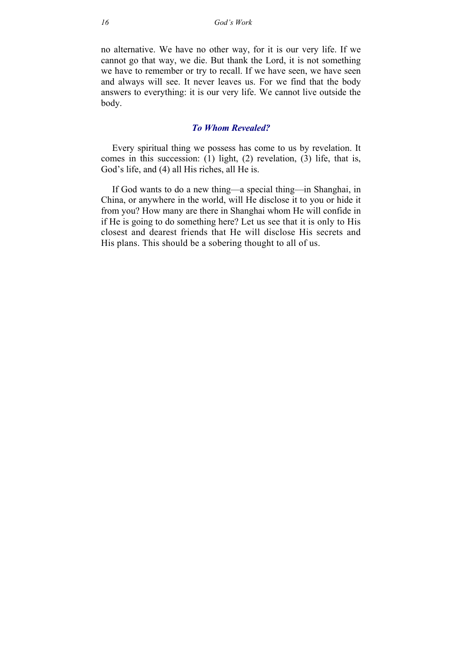no alternative. We have no other way, for it is our very life. If we cannot go that way, we die. But thank the Lord, it is not something we have to remember or try to recall. If we have seen, we have seen and always will see. It never leaves us. For we find that the body answers to everything: it is our very life. We cannot live outside the body.

#### *To Whom Revealed?*

Every spiritual thing we possess has come to us by revelation. It comes in this succession: (1) light, (2) revelation, (3) life, that is, God's life, and (4) all His riches, all He is.

If God wants to do a new thing—a special thing—in Shanghai, in China, or anywhere in the world, will He disclose it to you or hide it from you? How many are there in Shanghai whom He will confide in if He is going to do something here? Let us see that it is only to His closest and dearest friends that He will disclose His secrets and His plans. This should be a sobering thought to all of us.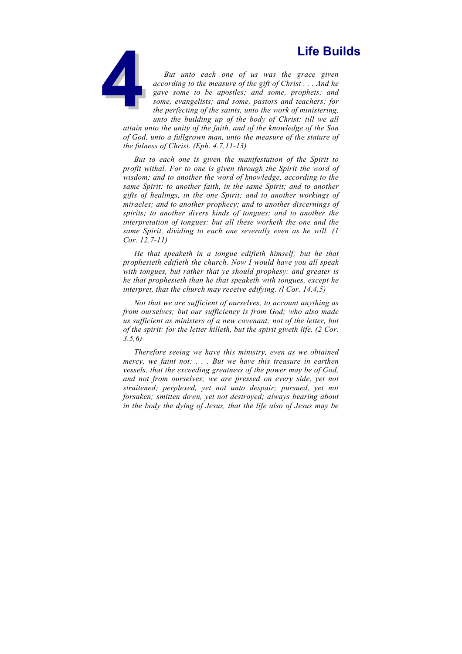<span id="page-16-0"></span>**4Life Builds**<br> **4Life Builds**<br> **4Life Builds**<br> **4Life Builds**<br> **5Life Builds**<br> **4Life Builds**<br> **4Life Builds**<br> **4Life Building** to the measure of the gift of Christ . . . And he<br>
gave some to be apostles; and some, prophe *But unto each one of us was the grace given according to the measure of the gift of Christ . . . And he gave some to be apostles; and some, prophets; and some, evangelists; and some, pastors and teachers; for the perfecting of the saints, unto the work of ministering, unto the building up of the body of Christ: till we all* 

*attain unto the unity of the faith, and of the knowledge of the Son of God, unto a fullgrown man, unto the measure of the stature of the fulness of Christ. (Eph. 4.7,11-13)*

*But to each one is given the manifestation of the Spirit to profit withal. For to one is given through the Spirit the word of wisdom; and to another the word of knowledge, according to the same Spirit: to another faith, in the same Spirit; and to another gifts of healings, in the one Spirit; and to another workings of miracles; and to another prophecy; and to another discernings of spirits; to another divers kinds of tongues; and to another the interpretation of tongues: but all these worketh the one and the same Spirit, dividing to each one severally even as he will. (1 Cor. 12.7-11)*

*He that speaketh in a tongue edifieth himself; but he that prophesieth edifieth the church. Now I would have you all speak with tongues, but rather that ye should prophesy: and greater is he that prophesieth than he that speaketh with tongues, except he interpret, that the church may receive edifying. (l Cor. 14.4,5)*

*Not that we are sufficient of ourselves, to account anything as from ourselves; but our sufficiency is from God; who also made us sufficient as ministers of a new covenant; not of the letter, but of the spirit: for the letter killeth, but the spirit giveth life. (2 Cor. 3.5,6)*

*Therefore seeing we have this ministry, even as we obtained mercy, we faint not: . . . But we have this treasure in earthen vessels, that the exceeding greatness of the power may be of God, and not from ourselves; we are pressed on every side, yet not straitened; perplexed, yet not unto despair; pursued, yet not forsaken; smitten down, yet not destroyed; always bearing about in the body the dying of Jesus, that the life also of Jesus may be*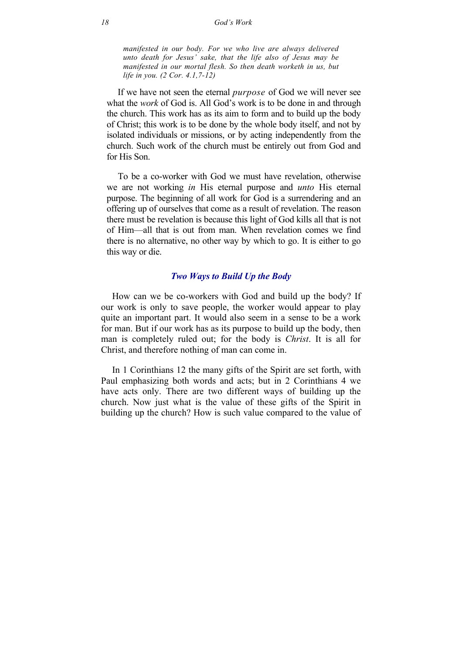*manifested in our body. For we who live are always delivered unto death for Jesus' sake, that the life also of Jesus may be manifested in our mortal flesh. So then death worketh in us, but life in you. (2 Cor. 4.1,7-12)* 

If we have not seen the eternal *purpose* of God we will never see what the *work* of God is. All God's work is to be done in and through the church. This work has as its aim to form and to build up the body of Christ; this work is to be done by the whole body itself, and not by isolated individuals or missions, or by acting independently from the church. Such work of the church must be entirely out from God and for His Son.

To be a co-worker with God we must have revelation, otherwise we are not working *in* His eternal purpose and *unto* His eternal purpose. The beginning of all work for God is a surrendering and an offering up of ourselves that come as a result of revelation. The reason there must be revelation is because this light of God kills all that is not of Him—all that is out from man. When revelation comes we find there is no alternative, no other way by which to go. It is either to go this way or die.

## *Two Ways to Build Up the Body*

How can we be co-workers with God and build up the body? If our work is only to save people, the worker would appear to play quite an important part. It would also seem in a sense to be a work for man. But if our work has as its purpose to build up the body, then man is completely ruled out; for the body is *Christ*. It is all for Christ, and therefore nothing of man can come in.

In 1 Corinthians 12 the many gifts of the Spirit are set forth, with Paul emphasizing both words and acts; but in 2 Corinthians 4 we have acts only. There are two different ways of building up the church. Now just what is the value of these gifts of the Spirit in building up the church? How is such value compared to the value of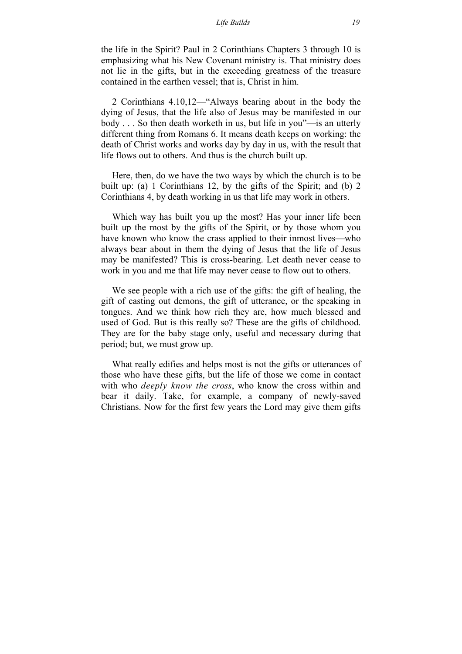the life in the Spirit? Paul in 2 Corinthians Chapters 3 through 10 is emphasizing what his New Covenant ministry is. That ministry does not lie in the gifts, but in the exceeding greatness of the treasure contained in the earthen vessel; that is, Christ in him.

2 Corinthians 4.10,12—"Always bearing about in the body the dying of Jesus, that the life also of Jesus may be manifested in our body . . . So then death worketh in us, but life in you"—is an utterly different thing from Romans 6. It means death keeps on working: the death of Christ works and works day by day in us, with the result that life flows out to others. And thus is the church built up.

Here, then, do we have the two ways by which the church is to be built up: (a) 1 Corinthians 12, by the gifts of the Spirit; and (b) 2 Corinthians 4, by death working in us that life may work in others.

Which way has built you up the most? Has your inner life been built up the most by the gifts of the Spirit, or by those whom you have known who know the crass applied to their inmost lives—who always bear about in them the dying of Jesus that the life of Jesus may be manifested? This is cross-bearing. Let death never cease to work in you and me that life may never cease to flow out to others.

We see people with a rich use of the gifts: the gift of healing, the gift of casting out demons, the gift of utterance, or the speaking in tongues. And we think how rich they are, how much blessed and used of God. But is this really so? These are the gifts of childhood. They are for the baby stage only, useful and necessary during that period; but, we must grow up.

What really edifies and helps most is not the gifts or utterances of those who have these gifts, but the life of those we come in contact with who *deeply know the cross*, who know the cross within and bear it daily. Take, for example, a company of newly-saved Christians. Now for the first few years the Lord may give them gifts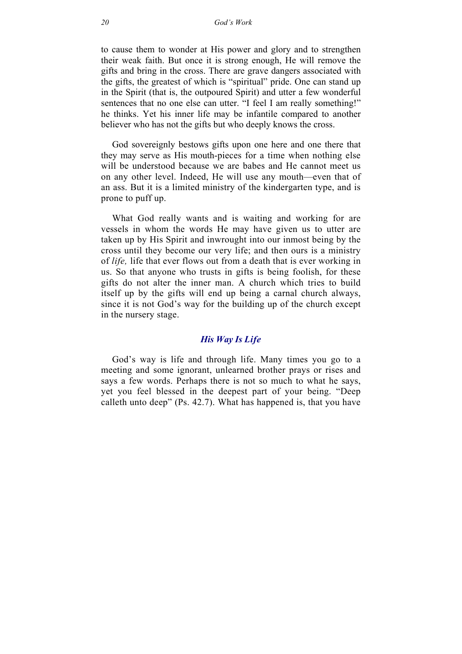to cause them to wonder at His power and glory and to strengthen their weak faith. But once it is strong enough, He will remove the gifts and bring in the cross. There are grave dangers associated with the gifts, the greatest of which is "spiritual" pride. One can stand up in the Spirit (that is, the outpoured Spirit) and utter a few wonderful sentences that no one else can utter. "I feel I am really something!" he thinks. Yet his inner life may be infantile compared to another believer who has not the gifts but who deeply knows the cross.

God sovereignly bestows gifts upon one here and one there that they may serve as His mouth-pieces for a time when nothing else will be understood because we are babes and He cannot meet us on any other level. Indeed, He will use any mouth—even that of an ass. But it is a limited ministry of the kindergarten type, and is prone to puff up.

What God really wants and is waiting and working for are vessels in whom the words He may have given us to utter are taken up by His Spirit and inwrought into our inmost being by the cross until they become our very life; and then ours is a ministry of *life,* life that ever flows out from a death that is ever working in us. So that anyone who trusts in gifts is being foolish, for these gifts do not alter the inner man. A church which tries to build itself up by the gifts will end up being a carnal church always, since it is not God's way for the building up of the church except in the nursery stage.

## *His Way Is Life*

God's way is life and through life. Many times you go to a meeting and some ignorant, unlearned brother prays or rises and says a few words. Perhaps there is not so much to what he says, yet you feel blessed in the deepest part of your being. "Deep calleth unto deep" (Ps. 42.7). What has happened is, that you have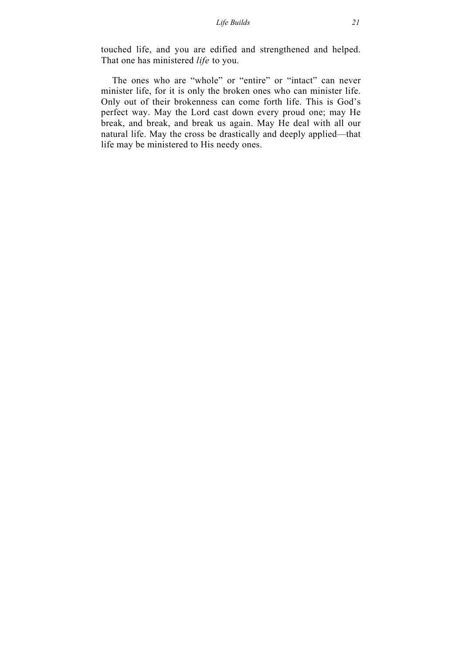touched life, and you are edified and strengthened and helped. That one has ministered *life* to you.

The ones who are "whole" or "entire" or "intact" can never minister life, for it is only the broken ones who can minister life. Only out of their brokenness can come forth life. This is God's perfect way. May the Lord cast down every proud one; may He break, and break, and break us again. May He deal with all our natural life. May the cross be drastically and deeply applied—that life may be ministered to His needy ones.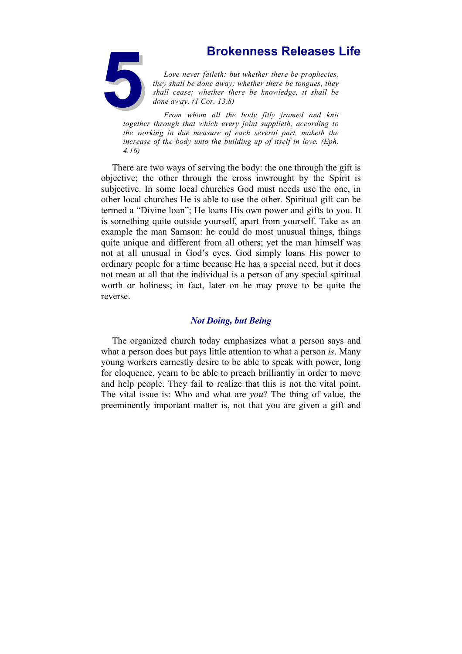

<span id="page-22-0"></span>**5 Srokenness Releases Life**<br>
Love never faileth: but whether there be prophecies,<br>
they shall be done away; whether there be tongues, they<br>
shall cease; whether there be knowledge, it shall be<br>
done away. (1 Cor. 13.8)<br>
F *Love never faileth: but whether there be prophecies, they shall be done away; whether there be tongues, they shall cease; whether there be knowledge, it shall be done away. (1 Cor. 13.8)*

*From whom all the body fitly framed and knit together through that which every joint supplieth, according to the working in due measure of each several part, maketh the increase of the body unto the building up of itself in love. (Eph. 4.16)*

There are two ways of serving the body: the one through the gift is objective; the other through the cross inwrought by the Spirit is subjective. In some local churches God must needs use the one, in other local churches He is able to use the other. Spiritual gift can be termed a "Divine loan"; He loans His own power and gifts to you. It is something quite outside yourself, apart from yourself. Take as an example the man Samson: he could do most unusual things, things quite unique and different from all others; yet the man himself was not at all unusual in God's eyes. God simply loans His power to ordinary people for a time because He has a special need, but it does not mean at all that the individual is a person of any special spiritual worth or holiness; in fact, later on he may prove to be quite the reverse.

## *Not Doing, but Being*

The organized church today emphasizes what a person says and what a person does but pays little attention to what a person *is*. Many young workers earnestly desire to be able to speak with power, long for eloquence, yearn to be able to preach brilliantly in order to move and help people. They fail to realize that this is not the vital point. The vital issue is: Who and what are *you*? The thing of value, the preeminently important matter is, not that you are given a gift and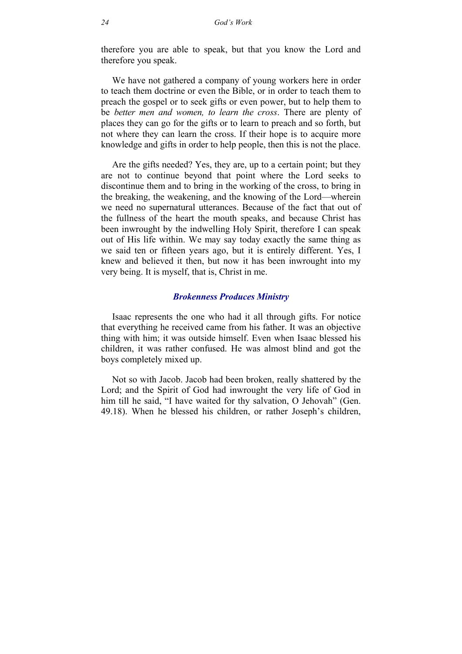therefore you are able to speak, but that you know the Lord and therefore you speak.

We have not gathered a company of young workers here in order to teach them doctrine or even the Bible, or in order to teach them to preach the gospel or to seek gifts or even power, but to help them to be *better men and women, to learn the cross*. There are plenty of places they can go for the gifts or to learn to preach and so forth, but not where they can learn the cross. If their hope is to acquire more knowledge and gifts in order to help people, then this is not the place.

Are the gifts needed? Yes, they are, up to a certain point; but they are not to continue beyond that point where the Lord seeks to discontinue them and to bring in the working of the cross, to bring in the breaking, the weakening, and the knowing of the Lord—wherein we need no supernatural utterances. Because of the fact that out of the fullness of the heart the mouth speaks, and because Christ has been inwrought by the indwelling Holy Spirit, therefore I can speak out of His life within. We may say today exactly the same thing as we said ten or fifteen years ago, but it is entirely different. Yes, I knew and believed it then, but now it has been inwrought into my very being. It is myself, that is, Christ in me.

## *Brokenness Produces Ministry*

Isaac represents the one who had it all through gifts. For notice that everything he received came from his father. It was an objective thing with him; it was outside himself. Even when Isaac blessed his children, it was rather confused. He was almost blind and got the boys completely mixed up.

Not so with Jacob. Jacob had been broken, really shattered by the Lord; and the Spirit of God had inwrought the very life of God in him till he said, "I have waited for thy salvation, O Jehovah" (Gen. 49.18). When he blessed his children, or rather Joseph's children,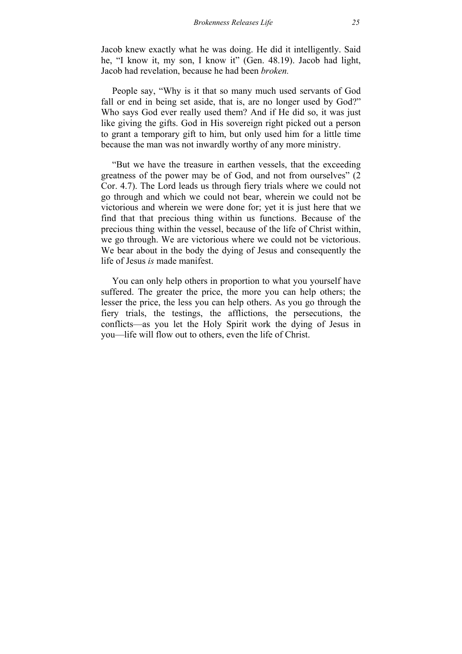Jacob knew exactly what he was doing. He did it intelligently. Said he, "I know it, my son, I know it" (Gen. 48.19). Jacob had light, Jacob had revelation, because he had been *broken.* 

People say, "Why is it that so many much used servants of God fall or end in being set aside, that is, are no longer used by God?" Who says God ever really used them? And if He did so, it was just like giving the gifts. God in His sovereign right picked out a person to grant a temporary gift to him, but only used him for a little time because the man was not inwardly worthy of any more ministry.

"But we have the treasure in earthen vessels, that the exceeding greatness of the power may be of God, and not from ourselves" (2 Cor. 4.7). The Lord leads us through fiery trials where we could not go through and which we could not bear, wherein we could not be victorious and wherein we were done for; yet it is just here that we find that that precious thing within us functions. Because of the precious thing within the vessel, because of the life of Christ within, we go through. We are victorious where we could not be victorious. We bear about in the body the dying of Jesus and consequently the life of Jesus *is* made manifest.

You can only help others in proportion to what you yourself have suffered. The greater the price, the more you can help others; the lesser the price, the less you can help others. As you go through the fiery trials, the testings, the afflictions, the persecutions, the conflicts—as you let the Holy Spirit work the dying of Jesus in you—life will flow out to others, even the life of Christ.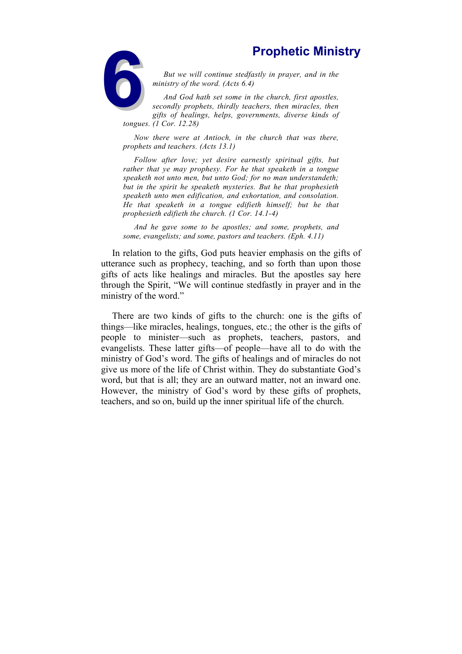

*But we will continue stedfastly in prayer, and in the ministry of the word. (Acts 6.4)*

<span id="page-26-0"></span>**6Prophetic Ministry**<br> *But we will continue stedfastly in prayer, and in the*<br> *ministry of the word.* (*Acts 6.4*)<br> *And God hath set some in the church, first apostles,*<br> *secondly prophets, thirdly teachers, then mirac And God hath set some in the church, first apostles, secondly prophets, thirdly teachers, then miracles, then gifts of healings, helps, governments, diverse kinds of tongues. (1 Cor. 12.28)*

*Now there were at Antioch, in the church that was there, prophets and teachers. (Acts 13.1)*

*Follow after love; yet desire earnestly spiritual gifts, but rather that ye may prophesy. For he that speaketh in a tongue speaketh not unto men, but unto God; for no man understandeth; but in the spirit he speaketh mysteries. But he that prophesieth speaketh unto men edification, and exhortation, and consolation. He that speaketh in a tongue edifieth himself; but he that prophesieth edifieth the church. (1 Cor. 14.1-4)*

*And he gave some to be apostles; and some, prophets, and some, evangelists; and some, pastors and teachers. (Eph. 4.11)*

In relation to the gifts, God puts heavier emphasis on the gifts of utterance such as prophecy, teaching, and so forth than upon those gifts of acts like healings and miracles. But the apostles say here through the Spirit, "We will continue stedfastly in prayer and in the ministry of the word."

There are two kinds of gifts to the church: one is the gifts of things—like miracles, healings, tongues, etc.; the other is the gifts of people to minister—such as prophets, teachers, pastors, and evangelists. These latter gifts—of people—have all to do with the ministry of God's word. The gifts of healings and of miracles do not give us more of the life of Christ within. They do substantiate God's word, but that is all; they are an outward matter, not an inward one. However, the ministry of God's word by these gifts of prophets, teachers, and so on, build up the inner spiritual life of the church.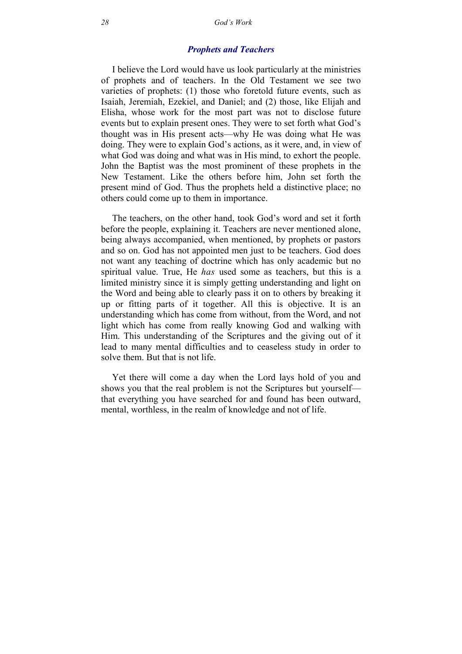#### *Prophets and Teachers*

I believe the Lord would have us look particularly at the ministries of prophets and of teachers. In the Old Testament we see two varieties of prophets: (1) those who foretold future events, such as Isaiah, Jeremiah, Ezekiel, and Daniel; and (2) those, like Elijah and Elisha, whose work for the most part was not to disclose future events but to explain present ones. They were to set forth what God's thought was in His present acts—why He was doing what He was doing. They were to explain God's actions, as it were, and, in view of what God was doing and what was in His mind, to exhort the people. John the Baptist was the most prominent of these prophets in the New Testament. Like the others before him, John set forth the present mind of God. Thus the prophets held a distinctive place; no others could come up to them in importance.

The teachers, on the other hand, took God's word and set it forth before the people, explaining it. Teachers are never mentioned alone, being always accompanied, when mentioned, by prophets or pastors and so on. God has not appointed men just to be teachers. God does not want any teaching of doctrine which has only academic but no spiritual value. True, He *has* used some as teachers, but this is a limited ministry since it is simply getting understanding and light on the Word and being able to clearly pass it on to others by breaking it up or fitting parts of it together. All this is objective. It is an understanding which has come from without, from the Word, and not light which has come from really knowing God and walking with Him. This understanding of the Scriptures and the giving out of it lead to many mental difficulties and to ceaseless study in order to solve them. But that is not life.

Yet there will come a day when the Lord lays hold of you and shows you that the real problem is not the Scriptures but yourself that everything you have searched for and found has been outward, mental, worthless, in the realm of knowledge and not of life.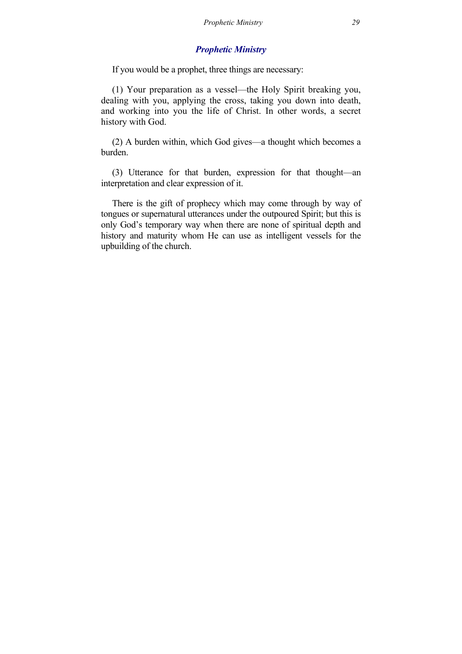## *Prophetic Ministry*

If you would be a prophet, three things are necessary:

(1) Your preparation as a vessel—the Holy Spirit breaking you, dealing with you, applying the cross, taking you down into death, and working into you the life of Christ. In other words, a secret history with God.

(2) A burden within, which God gives—a thought which becomes a burden.

(3) Utterance for that burden, expression for that thought—an interpretation and clear expression of it.

There is the gift of prophecy which may come through by way of tongues or supernatural utterances under the outpoured Spirit; but this is only God's temporary way when there are none of spiritual depth and history and maturity whom He can use as intelligent vessels for the upbuilding of the church.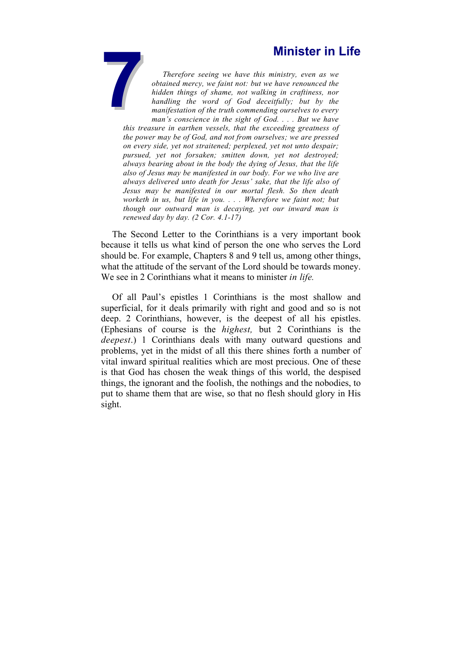<span id="page-30-0"></span>**7***Pherefore seeing we have this ministry, even as we obtained mercy, we faint not: but we have renounced the hidden things of shame, not walking in craftiness, nor handling the word of God deceitfully; but by the manife Therefore seeing we have this ministry, even as we obtained mercy, we faint not: but we have renounced the hidden things of shame, not walking in craftiness, nor handling the word of God deceitfully; but by the manifestation of the truth commending ourselves to every man's conscience in the sight of God. . . . But we have this treasure in earthen vessels, that the exceeding greatness of the power may be of God, and not from ourselves; we are pressed on every side, yet not straitened; perplexed, yet not unto despair; pursued, yet not forsaken; smitten down, yet not destroyed; always bearing about in the body the dying of Jesus, that the life also of Jesus may be manifested in our body. For we who live are always delivered unto death for Jesus' sake, that the life also of Jesus may be manifested in our mortal flesh. So then death worketh in us, but life in you. . . . Wherefore we faint not; but though our outward man is decaying, yet our inward man is renewed day by day. (2 Cor. 4.1-17)*

The Second Letter to the Corinthians is a very important book because it tells us what kind of person the one who serves the Lord should be. For example, Chapters 8 and 9 tell us, among other things, what the attitude of the servant of the Lord should be towards money. We see in 2 Corinthians what it means to minister *in life.* 

Of all Paul's epistles 1 Corinthians is the most shallow and superficial, for it deals primarily with right and good and so is not deep. 2 Corinthians, however, is the deepest of all his epistles. (Ephesians of course is the *highest,* but 2 Corinthians is the *deepest*.) 1 Corinthians deals with many outward questions and problems, yet in the midst of all this there shines forth a number of vital inward spiritual realities which are most precious. One of these is that God has chosen the weak things of this world, the despised things, the ignorant and the foolish, the nothings and the nobodies, to put to shame them that are wise, so that no flesh should glory in His sight.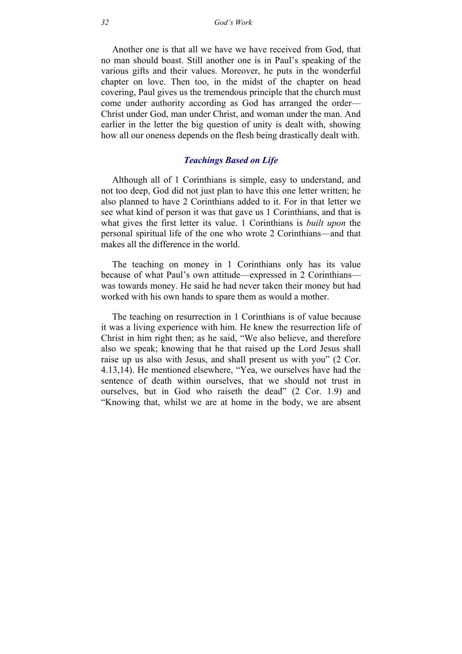Another one is that all we have we have received from God, that no man should boast. Still another one is in Paul's speaking of the various gifts and their values. Moreover, he puts in the wonderful chapter on love. Then too, in the midst of the chapter on head covering, Paul gives us the tremendous principle that the church must come under authority according as God has arranged the order— Christ under God, man under Christ, and woman under the man. And earlier in the letter the big question of unity is dealt with, showing how all our oneness depends on the flesh being drastically dealt with.

### *Teachings Based on Life*

Although all of 1 Corinthians is simple, easy to understand, and not too deep, God did not just plan to have this one letter written; he also planned to have 2 Corinthians added to it. For in that letter we see what kind of person it was that gave us 1 Corinthians, and that is what gives the first letter its value. 1 Corinthians is *built upon* the personal spiritual life of the one who wrote 2 Corinthians—and that makes all the difference in the world.

The teaching on money in 1 Corinthians only has its value because of what Paul's own attitude—expressed in 2 Corinthians was towards money. He said he had never taken their money but had worked with his own hands to spare them as would a mother.

The teaching on resurrection in 1 Corinthians is of value because it was a living experience with him. He knew the resurrection life of Christ in him right then; as he said, "We also believe, and therefore also we speak; knowing that he that raised up the Lord Jesus shall raise up us also with Jesus, and shall present us with you" (2 Cor. 4.13,14). He mentioned elsewhere, "Yea, we ourselves have had the sentence of death within ourselves, that we should not trust in ourselves, but in God who raiseth the dead" (2 Cor. 1.9) and "Knowing that, whilst we are at home in the body, we are absent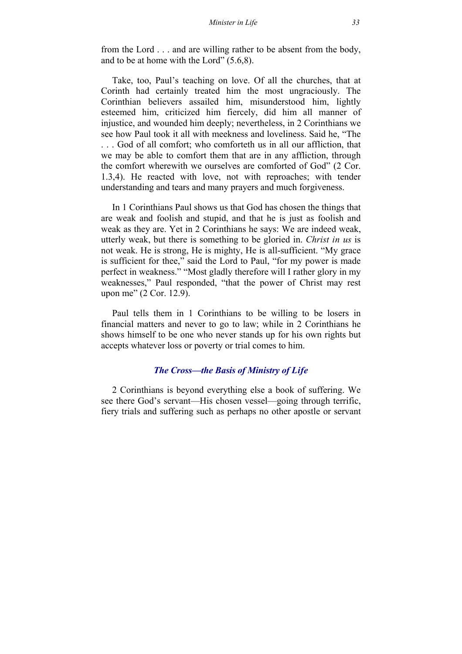from the Lord . . . and are willing rather to be absent from the body, and to be at home with the Lord" (5.6,8).

Take, too, Paul's teaching on love. Of all the churches, that at Corinth had certainly treated him the most ungraciously. The Corinthian believers assailed him, misunderstood him, lightly esteemed him, criticized him fiercely, did him all manner of injustice, and wounded him deeply; nevertheless, in 2 Corinthians we see how Paul took it all with meekness and loveliness. Said he, "The . . . God of all comfort; who comforteth us in all our affliction, that we may be able to comfort them that are in any affliction, through the comfort wherewith we ourselves are comforted of God" (2 Cor. 1.3,4). He reacted with love, not with reproaches; with tender understanding and tears and many prayers and much forgiveness.

In 1 Corinthians Paul shows us that God has chosen the things that are weak and foolish and stupid, and that he is just as foolish and weak as they are. Yet in 2 Corinthians he says: We are indeed weak, utterly weak, but there is something to be gloried in. *Christ in us* is not weak. He is strong, He is mighty, He is all-sufficient. "My grace is sufficient for thee," said the Lord to Paul, "for my power is made perfect in weakness." "Most gladly therefore will I rather glory in my weaknesses," Paul responded, "that the power of Christ may rest upon me" (2 Cor. 12.9).

Paul tells them in 1 Corinthians to be willing to be losers in financial matters and never to go to law; while in 2 Corinthians he shows himself to be one who never stands up for his own rights but accepts whatever loss or poverty or trial comes to him.

## *The Cross—the Basis of Ministry of Life*

2 Corinthians is beyond everything else a book of suffering. We see there God's servant—His chosen vessel—going through terrific, fiery trials and suffering such as perhaps no other apostle or servant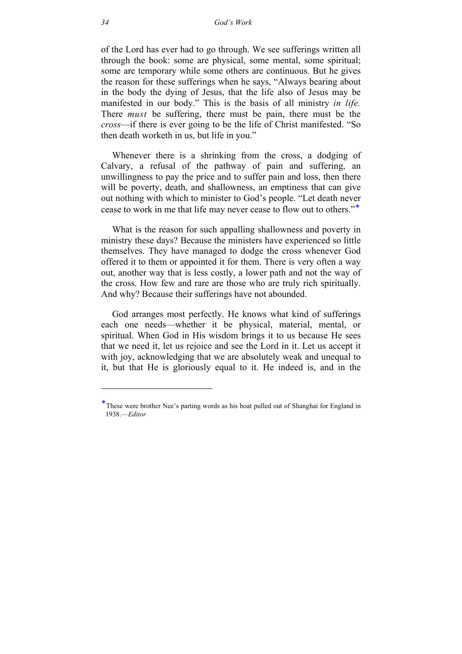of the Lord has ever had to go through. We see sufferings written all through the book: some are physical, some mental, some spiritual; some are temporary while some others are continuous. But he gives the reason for these sufferings when he says, "Always bearing about in the body the dying of Jesus, that the life also of Jesus may be manifested in our body." This is the basis of all ministry *in life.*  There *must* be suffering, there must be pain, there must be the *cross*—if there is ever going to be the life of Christ manifested. "So then death worketh in us, but life in you."

Whenever there is a shrinking from the cross, a dodging of Calvary, a refusal of the pathway of pain and suffering, an unwillingness to pay the price and to suffer pain and loss, then there will be poverty, death, and shallowness, an emptiness that can give out nothing with which to minister to God's people. "Let death never cease to work in me that life may never cease to flow out to others."<sup>∗</sup>

What is the reason for such appalling shallowness and poverty in ministry these days? Because the ministers have experienced so little themselves. They have managed to dodge the cross whenever God offered it to them or appointed it for them. There is very often a way out, another way that is less costly, a lower path and not the way of the cross. How few and rare are those who are truly rich spiritually. And why? Because their sufferings have not abounded.

God arranges most perfectly. He knows what kind of sufferings each one needs—whether it be physical, material, mental, or spiritual. When God in His wisdom brings it to us because He sees that we need it, let us rejoice and see the Lord in it. Let us accept it with joy, acknowledging that we are absolutely weak and unequal to it, but that He is gloriously equal to it. He indeed is, and in the

1

<sup>∗</sup> These were brother Nee's parting words as his boat pulled out of Shanghai for England in 1938.—*Editor*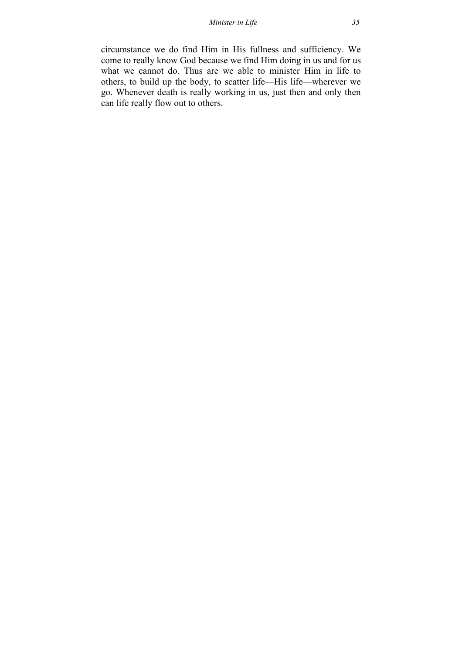circumstance we do find Him in His fullness and sufficiency. We come to really know God because we find Him doing in us and for us what we cannot do. Thus are we able to minister Him in life to others, to build up the body, to scatter life—His life—wherever we go. Whenever death is really working in us, just then and only then can life really flow out to others.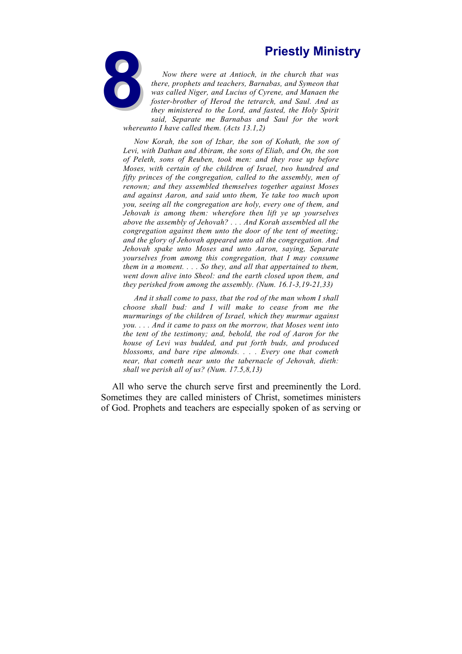

<span id="page-36-0"></span>**8Priestly Ministry**<br>
Now there were at Antioch, in the church that was<br>
there, prophets and teachers, Barnabas, and Symeon that<br>
was called Niger, and Lucius of Cyrene, and Manaen the<br>
foster-brother of Herod the tetrarch *Now there were at Antioch, in the church that was there, prophets and teachers, Barnabas, and Symeon that was called Niger, and Lucius of Cyrene, and Manaen the foster-brother of Herod the tetrarch, and Saul. And as they ministered to the Lord, and fasted, the Holy Spirit said, Separate me Barnabas and Saul for the work whereunto I have called them. (Acts 13.1,2)*

*Now Korah, the son of Izhar, the son of Kohath, the son of Levi, with Dathan and Abiram, the sons of Eliab, and On, the son of Peleth, sons of Reuben, took men: and they rose up before Moses, with certain of the children of Israel, two hundred and fifty princes of the congregation, called to the assembly, men of renown; and they assembled themselves together against Moses and against Aaron, and said unto them, Ye take too much upon you, seeing all the congregation are holy, every one of them, and Jehovah is among them: wherefore then lift ye up yourselves above the assembly of Jehovah? . . . And Korah assembled all the congregation against them unto the door of the tent of meeting; and the glory of Jehovah appeared unto all the congregation. And Jehovah spake unto Moses and unto Aaron, saying, Separate yourselves from among this congregation, that I may consume them in a moment. . . . So they, and all that appertained to them, went down alive into Sheol: and the earth closed upon them, and they perished from among the assembly. (Num. 16.1-3,19-21,33)*

*And it shall come to pass, that the rod of the man whom I shall choose shall bud: and I will make to cease from me the murmurings of the children of Israel, which they murmur against you. . . . And it came to pass on the morrow, that Moses went into the tent of the testimony; and, behold, the rod of Aaron for the house of Levi was budded, and put forth buds, and produced blossoms, and bare ripe almonds. . . . Every one that cometh near, that cometh near unto the tabernacle of Jehovah, dieth: shall we perish all of us? (Num. 17.5,8,13)*

All who serve the church serve first and preeminently the Lord. Sometimes they are called ministers of Christ, sometimes ministers of God. Prophets and teachers are especially spoken of as serving or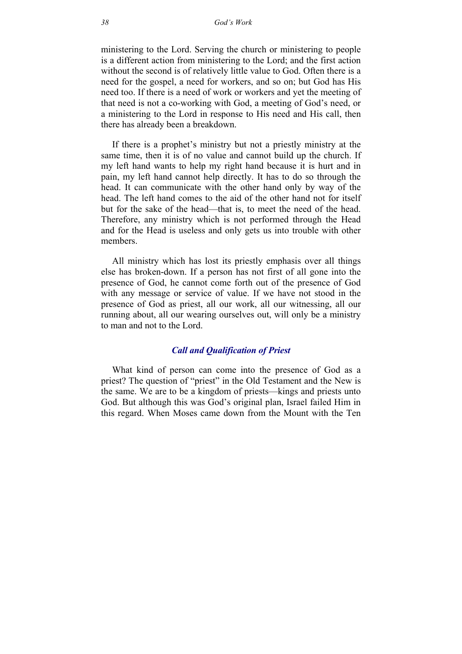ministering to the Lord. Serving the church or ministering to people is a different action from ministering to the Lord; and the first action without the second is of relatively little value to God. Often there is a need for the gospel, a need for workers, and so on; but God has His need too. If there is a need of work or workers and yet the meeting of that need is not a co-working with God, a meeting of God's need, or a ministering to the Lord in response to His need and His call, then there has already been a breakdown.

If there is a prophet's ministry but not a priestly ministry at the same time, then it is of no value and cannot build up the church. If my left hand wants to help my right hand because it is hurt and in pain, my left hand cannot help directly. It has to do so through the head. It can communicate with the other hand only by way of the head. The left hand comes to the aid of the other hand not for itself but for the sake of the head—that is, to meet the need of the head. Therefore, any ministry which is not performed through the Head and for the Head is useless and only gets us into trouble with other members.

All ministry which has lost its priestly emphasis over all things else has broken-down. If a person has not first of all gone into the presence of God, he cannot come forth out of the presence of God with any message or service of value. If we have not stood in the presence of God as priest, all our work, all our witnessing, all our running about, all our wearing ourselves out, will only be a ministry to man and not to the Lord.

## *Call and Qualification of Priest*

What kind of person can come into the presence of God as a priest? The question of "priest" in the Old Testament and the New is the same. We are to be a kingdom of priests—kings and priests unto God. But although this was God's original plan, Israel failed Him in this regard. When Moses came down from the Mount with the Ten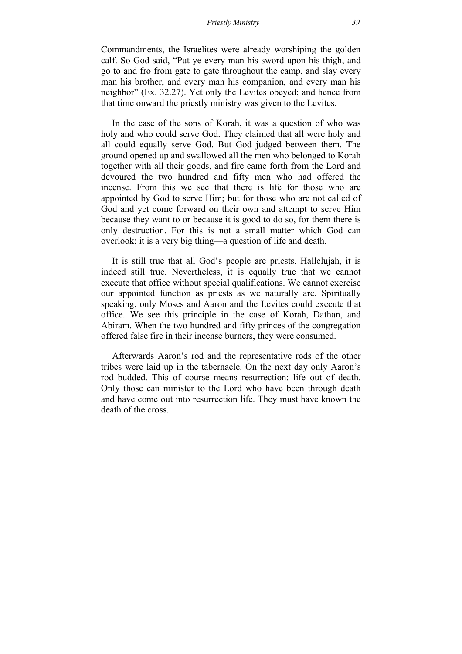Commandments, the Israelites were already worshiping the golden calf. So God said, "Put ye every man his sword upon his thigh, and go to and fro from gate to gate throughout the camp, and slay every man his brother, and every man his companion, and every man his neighbor" (Ex. 32.27). Yet only the Levites obeyed; and hence from that time onward the priestly ministry was given to the Levites.

In the case of the sons of Korah, it was a question of who was holy and who could serve God. They claimed that all were holy and all could equally serve God. But God judged between them. The ground opened up and swallowed all the men who belonged to Korah together with all their goods, and fire came forth from the Lord and devoured the two hundred and fifty men who had offered the incense. From this we see that there is life for those who are appointed by God to serve Him; but for those who are not called of God and yet come forward on their own and attempt to serve Him because they want to or because it is good to do so, for them there is only destruction. For this is not a small matter which God can overlook; it is a very big thing—a question of life and death.

It is still true that all God's people are priests. Hallelujah, it is indeed still true. Nevertheless, it is equally true that we cannot execute that office without special qualifications. We cannot exercise our appointed function as priests as we naturally are. Spiritually speaking, only Moses and Aaron and the Levites could execute that office. We see this principle in the case of Korah, Dathan, and Abiram. When the two hundred and fifty princes of the congregation offered false fire in their incense burners, they were consumed.

Afterwards Aaron's rod and the representative rods of the other tribes were laid up in the tabernacle. On the next day only Aaron's rod budded. This of course means resurrection: life out of death. Only those can minister to the Lord who have been through death and have come out into resurrection life. They must have known the death of the cross.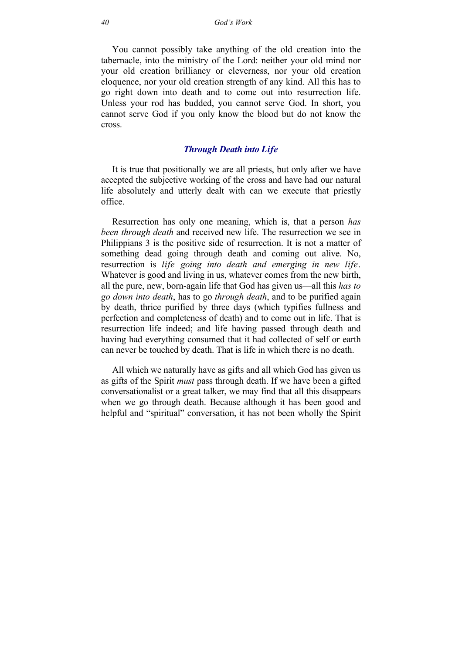You cannot possibly take anything of the old creation into the tabernacle, into the ministry of the Lord: neither your old mind nor your old creation brilliancy or cleverness, nor your old creation eloquence, nor your old creation strength of any kind. All this has to go right down into death and to come out into resurrection life. Unless your rod has budded, you cannot serve God. In short, you cannot serve God if you only know the blood but do not know the cross.

## *Through Death into Life*

It is true that positionally we are all priests, but only after we have accepted the subjective working of the cross and have had our natural life absolutely and utterly dealt with can we execute that priestly office.

Resurrection has only one meaning, which is, that a person *has been through death* and received new life. The resurrection we see in Philippians 3 is the positive side of resurrection. It is not a matter of something dead going through death and coming out alive. No, resurrection is *life going into death and emerging in new life*. Whatever is good and living in us, whatever comes from the new birth, all the pure, new, born-again life that God has given us—all this *has to go down into death*, has to go *through death*, and to be purified again by death, thrice purified by three days (which typifies fullness and perfection and completeness of death) and to come out in life. That is resurrection life indeed; and life having passed through death and having had everything consumed that it had collected of self or earth can never be touched by death. That is life in which there is no death.

All which we naturally have as gifts and all which God has given us as gifts of the Spirit *must* pass through death. If we have been a gifted conversationalist or a great talker, we may find that all this disappears when we go through death. Because although it has been good and helpful and "spiritual" conversation, it has not been wholly the Spirit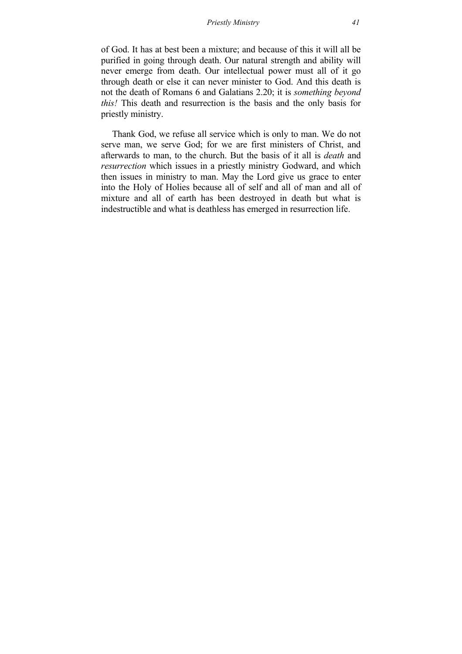of God. It has at best been a mixture; and because of this it will all be purified in going through death. Our natural strength and ability will never emerge from death. Our intellectual power must all of it go through death or else it can never minister to God. And this death is not the death of Romans 6 and Galatians 2.20; it is *something beyond this!* This death and resurrection is the basis and the only basis for priestly ministry.

Thank God, we refuse all service which is only to man. We do not serve man, we serve God; for we are first ministers of Christ, and afterwards to man, to the church. But the basis of it all is *death* and *resurrection* which issues in a priestly ministry Godward, and which then issues in ministry to man. May the Lord give us grace to enter into the Holy of Holies because all of self and all of man and all of mixture and all of earth has been destroyed in death but what is indestructible and what is deathless has emerged in resurrection life.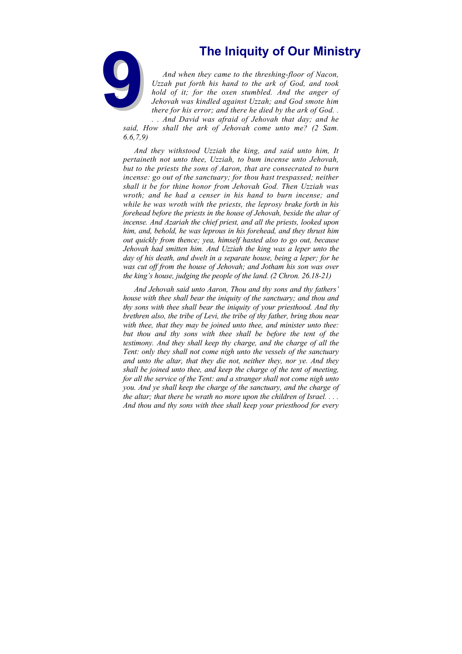<span id="page-42-0"></span>

**9The Iniquity of Our Ministry**<br>And when they came to the threshing-floor of Nacon,<br>Uzzah put forth his hand to the ark of God, and took<br>hold of it; for the oxen stumbled. And the anger of<br>Jehovah was kindled against Uzzah *And when they came to the threshing-floor of Nacon, Uzzah put forth his hand to the ark of God, and took hold of it; for the oxen stumbled. And the anger of Jehovah was kindled against Uzzah; and God smote him there for his error; and there he died by the ark of God. .* 

*. . And David was afraid of Jehovah that day; and he said, How shall the ark of Jehovah come unto me? (2 Sam. 6.6,7,9)*

*And they withstood Uzziah the king, and said unto him, It pertaineth not unto thee, Uzziah, to bum incense unto Jehovah, but to the priests the sons of Aaron, that are consecrated to burn incense: go out of the sanctuary; for thou hast trespassed; neither shall it be for thine honor from Jehovah God. Then Uzziah was wroth; and he had a censer in his hand to burn incense; and while he was wroth with the priests, the leprosy brake forth in his forehead before the priests in the house of Jehovah, beside the altar of incense. And Azariah the chief priest, and all the priests, looked upon him, and, behold, he was leprous in his forehead, and they thrust him out quickly from thence; yea, himself hasted also to go out, because Jehovah had smitten him. And Uzziah the king was a leper unto the day of his death, and dwelt in a separate house, being a leper; for he was cut off from the house of Jehovah; and Jotham his son was over the king's house, judging the people of the land. (2 Chron. 26.18-21)*

*And Jehovah said unto Aaron, Thou and thy sons and thy fathers' house with thee shall bear the iniquity of the sanctuary; and thou and thy sons with thee shall bear the iniquity of your priesthood. And thy brethren also, the tribe of Levi, the tribe of thy father, bring thou near with thee, that they may be joined unto thee, and minister unto thee: but thou and thy sons with thee shall be before the tent of the testimony. And they shall keep thy charge, and the charge of all the Tent: only they shall not come nigh unto the vessels of the sanctuary and unto the altar, that they die not, neither they, nor ye. And they shall be joined unto thee, and keep the charge of the tent of meeting, for all the service of the Tent: and a stranger shall not come nigh unto you. And ye shall keep the charge of the sanctuary, and the charge of the altar; that there be wrath no more upon the children of Israel. . . . And thou and thy sons with thee shall keep your priesthood for every*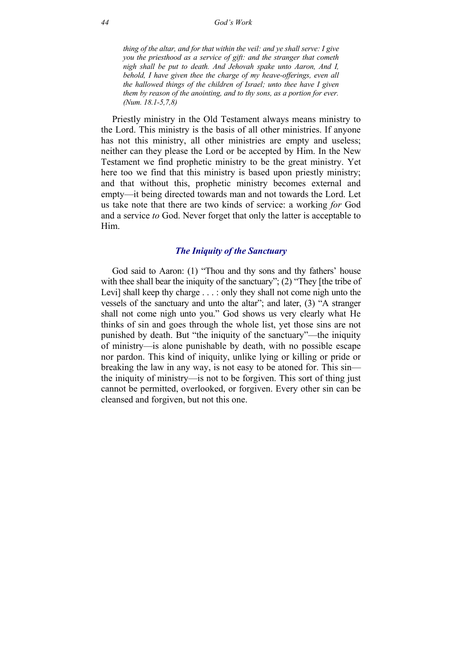*thing of the altar, and for that within the veil: and ye shall serve: I give you the priesthood as a service of gift: and the stranger that cometh nigh shall be put to death. And Jehovah spake unto Aaron, And I, behold, I have given thee the charge of my heave-offerings, even all the hallowed things of the children of Israel; unto thee have I given them by reason of the anointing, and to thy sons, as a portion for ever. (Num. 18.1-5,7,8)* 

Priestly ministry in the Old Testament always means ministry to the Lord. This ministry is the basis of all other ministries. If anyone has not this ministry, all other ministries are empty and useless; neither can they please the Lord or be accepted by Him. In the New Testament we find prophetic ministry to be the great ministry. Yet here too we find that this ministry is based upon priestly ministry; and that without this, prophetic ministry becomes external and empty—it being directed towards man and not towards the Lord. Let us take note that there are two kinds of service: a working *for* God and a service *to* God. Never forget that only the latter is acceptable to Him.

#### *The Iniquity of the Sanctuary*

God said to Aaron: (1) "Thou and thy sons and thy fathers' house with thee shall bear the iniquity of the sanctuary"; (2) "They [the tribe of Levi] shall keep thy charge . . . : only they shall not come nigh unto the vessels of the sanctuary and unto the altar"; and later, (3) "A stranger shall not come nigh unto you." God shows us very clearly what He thinks of sin and goes through the whole list, yet those sins are not punished by death. But "the iniquity of the sanctuary"—the iniquity of ministry—is alone punishable by death, with no possible escape nor pardon. This kind of iniquity, unlike lying or killing or pride or breaking the law in any way, is not easy to be atoned for. This sin the iniquity of ministry—is not to be forgiven. This sort of thing just cannot be permitted, overlooked, or forgiven. Every other sin can be cleansed and forgiven, but not this one.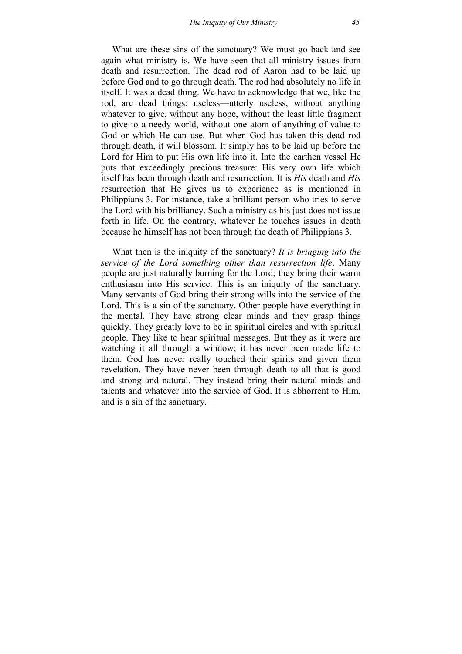What are these sins of the sanctuary? We must go back and see again what ministry is. We have seen that all ministry issues from death and resurrection. The dead rod of Aaron had to be laid up before God and to go through death. The rod had absolutely no life in itself. It was a dead thing. We have to acknowledge that we, like the rod, are dead things: useless—utterly useless, without anything whatever to give, without any hope, without the least little fragment to give to a needy world, without one atom of anything of value to God or which He can use. But when God has taken this dead rod through death, it will blossom. It simply has to be laid up before the Lord for Him to put His own life into it. Into the earthen vessel He puts that exceedingly precious treasure: His very own life which itself has been through death and resurrection. It is *His* death and *His* resurrection that He gives us to experience as is mentioned in Philippians 3. For instance, take a brilliant person who tries to serve the Lord with his brilliancy. Such a ministry as his just does not issue forth in life. On the contrary, whatever he touches issues in death because he himself has not been through the death of Philippians 3.

What then is the iniquity of the sanctuary? *It is bringing into the service of the Lord something other than resurrection life*. Many people are just naturally burning for the Lord; they bring their warm enthusiasm into His service. This is an iniquity of the sanctuary. Many servants of God bring their strong wills into the service of the Lord. This is a sin of the sanctuary. Other people have everything in the mental. They have strong clear minds and they grasp things quickly. They greatly love to be in spiritual circles and with spiritual people. They like to hear spiritual messages. But they as it were are watching it all through a window; it has never been made life to them. God has never really touched their spirits and given them revelation. They have never been through death to all that is good and strong and natural. They instead bring their natural minds and talents and whatever into the service of God. It is abhorrent to Him, and is a sin of the sanctuary.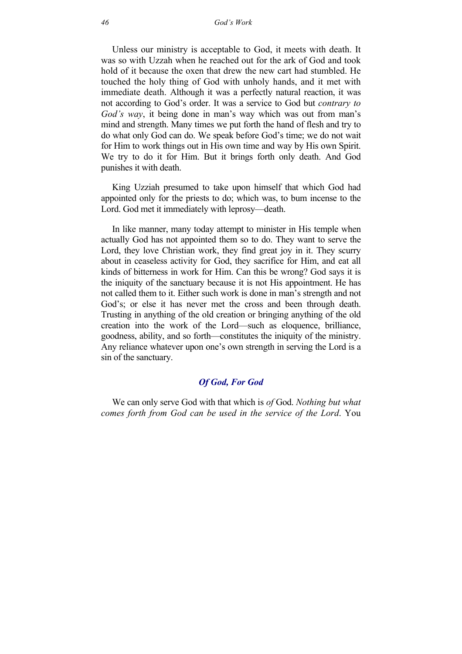Unless our ministry is acceptable to God, it meets with death. It was so with Uzzah when he reached out for the ark of God and took hold of it because the oxen that drew the new cart had stumbled. He touched the holy thing of God with unholy hands, and it met with immediate death. Although it was a perfectly natural reaction, it was not according to God's order. It was a service to God but *contrary to God's way*, it being done in man's way which was out from man's mind and strength. Many times we put forth the hand of flesh and try to do what only God can do. We speak before God's time; we do not wait for Him to work things out in His own time and way by His own Spirit. We try to do it for Him. But it brings forth only death. And God punishes it with death.

King Uzziah presumed to take upon himself that which God had appointed only for the priests to do; which was, to bum incense to the Lord. God met it immediately with leprosy—death.

In like manner, many today attempt to minister in His temple when actually God has not appointed them so to do. They want to serve the Lord, they love Christian work, they find great joy in it. They scurry about in ceaseless activity for God, they sacrifice for Him, and eat all kinds of bitterness in work for Him. Can this be wrong? God says it is the iniquity of the sanctuary because it is not His appointment. He has not called them to it. Either such work is done in man's strength and not God's; or else it has never met the cross and been through death. Trusting in anything of the old creation or bringing anything of the old creation into the work of the Lord—such as eloquence, brilliance, goodness, ability, and so forth—constitutes the iniquity of the ministry. Any reliance whatever upon one's own strength in serving the Lord is a sin of the sanctuary.

#### *Of God, For God*

We can only serve God with that which is *of* God. *Nothing but what comes forth from God can be used in the service of the Lord*. You